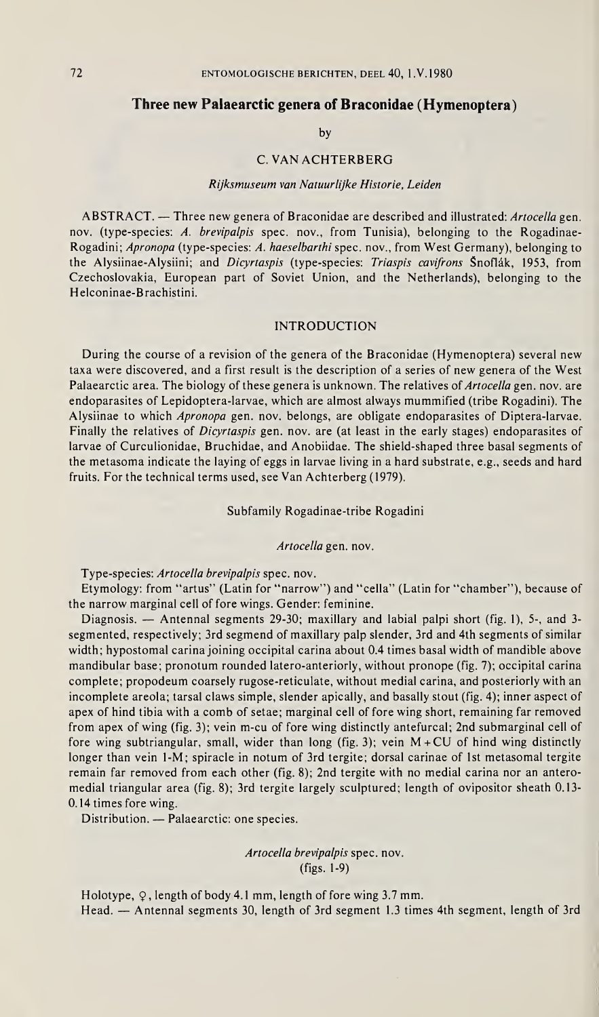# Three new Palaearctic genera of Braconidae (Hymenoptera)

by

#### C. VAN ACHTERBERG

# Rijksmuseum van Natuurlijke Historie, Leiden

ABSTRACT. — Three new genera of Braconidae are described and illustrated: Artocella gen. nov. (type-species: A. brevipalpis spec. nov., from Tunisia), belonging to the Rogadinae-Rogadini; Apronopa (type-species: A. haeselbarthi spec, nov., from West Germany), belonging to the Alysiinae-Alysiini; and Dicyrtaspis (type-species: Triaspis cavifrons Snoflák, 1953, from Czechoslovakia, European part of Soviet Union, and the Netherlands), belonging to the Helconinae-Brachistini.

## INTRODUCTION

During the course of a revision of the genera of the Braconidae (Hymenoptera) several new taxa were discovered, and a first result is the description of a series of new genera of the West Palaearctic area. The biology of these genera is unknown. The relatives of Artocella gen. nov. are endoparasites of Lepidoptera-larvae, which are almost always mummified (tribe Rogadini). The Alysiinae to which Apronopa gen. nov. belongs, are obligate endoparasites of Diptera-larvae. Finally the relatives of *Dicyrtaspis* gen. nov. are (at least in the early stages) endoparasites of larvae of Curculionidae, Bruchidae, and Anobiidae. The shield-shaped three basal segments of the metasoma indicate the laying of eggs in larvae living in a hard substrate, e.g., seeds and hard fruits. For the technical terms used, see Van Achterberg (1979).

Subfamily Rogadinae-tribe Rogadini

Artocella gen. nov.

Type-species: Artocella brevipalpis spec. nov.

Etymology: from "artus" (Latin for "narrow") and "cella" (Latin for "chamber"), because of the narrow marginal cell of fore wings. Gender: feminine.

Diagnosis. — Antennal segments 29-30; maxillary and labial palpi short (fig. 1), 5-, and 3 segmented, respectively; 3rd segmend of maxillary palp slender, 3rd and 4th segments of similar width; hypostomal carina joining occipital carina about 0.4 times basal width of mandible above mandibular base; pronotum rounded latero-anteriorly, without pronope (fig. 7); occipital carina complete; propodeum coarsely rugose-reticulate, without medial carina, and posteriorly with an incomplete areola; tarsal claws simple, slender apically, and basally stout (fig. 4); inner aspect of apex of hind tibia with a comb of setae; marginal cell of fore wing short, remaining far removed from apex of wing (fig. 3); vein m-cu of fore wing distinctly antefurcal; 2nd submarginal cell of fore wing subtriangular, small, wider than long (fig. 3); vein  $M + CU$  of hind wing distinctly longer than vein 1-M; spiracle in notum of 3rd tergite; dorsal carinae of 1st metasomal tergite remain far removed from each other (fig. 8); 2nd tergite with no medial carina nor an anteromedial triangular area (fig. 8); 3rd tergite largely sculptured; length of ovipositor sheath 0.13- 0.14 times fore wing.

Distribution. — Palaearctic: one species.

Artocella brevipalpis spec. nov. (figs. 1-9)

Holotype,  $\varphi$ , length of body 4.1 mm, length of fore wing 3.7 mm. Head. — Antennal segments 30, length of 3rd segment 1.3 times 4th segment, length of 3rd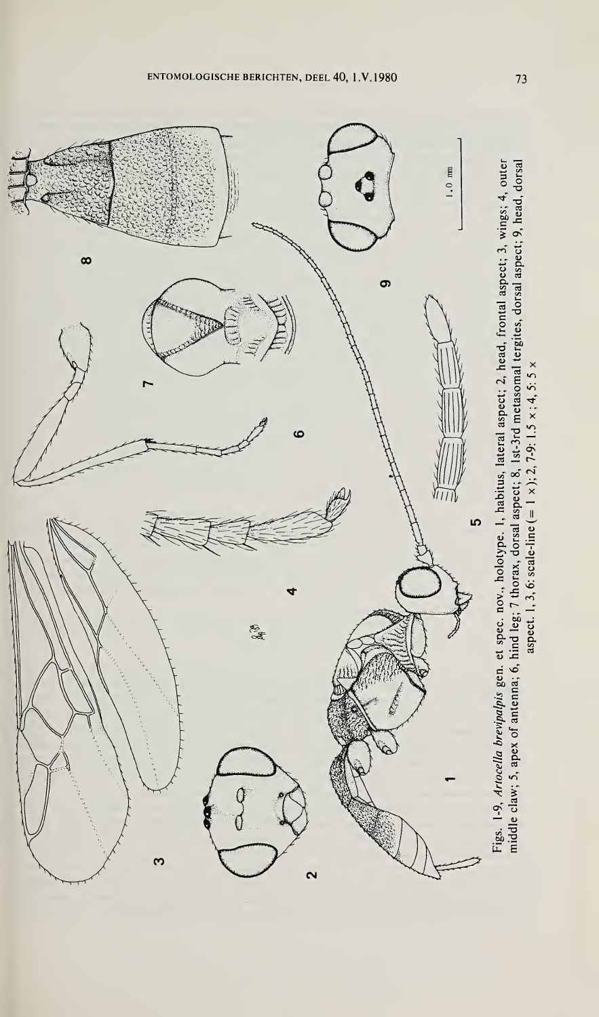

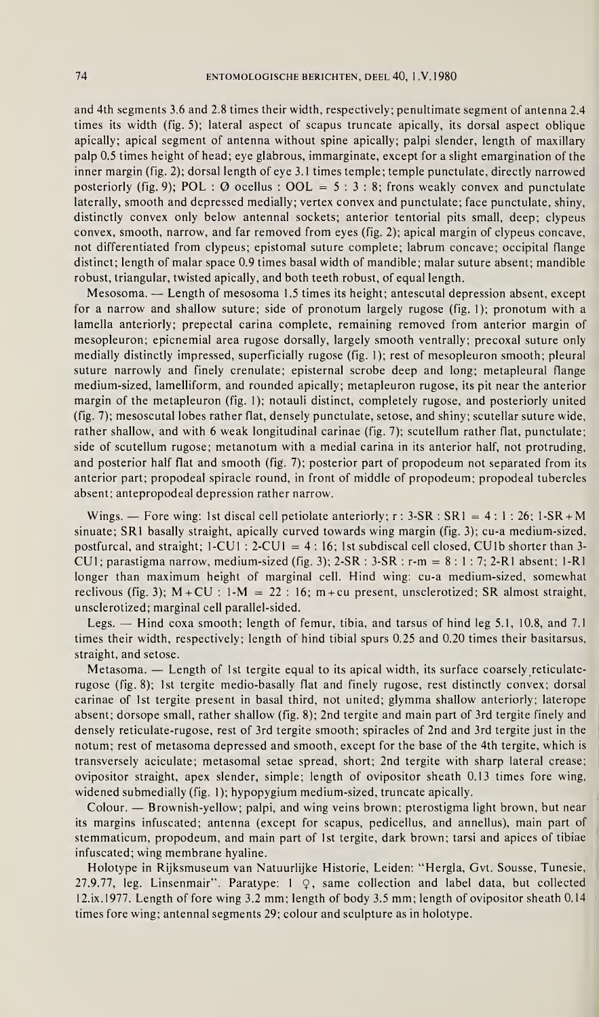and 4th segments 3.6 and 2.8 times their width, respectively; penultimate segment of antenna 2.4 times its width (fig. 5); lateral aspect of scapus truncate apically, its dorsal aspect oblique apically; apical segment of antenna without spine apically; palpi slender, length of maxillary palp 0.5 times height of head; eye glabrous, immarginate, except for a slight emargination of the inner margin (fig. 2); dorsal length of eye 3.1 times temple; temple punctulate, directly narrowed posteriorly (fig. 9); POL :  $\varnothing$  ocellus : OOL = 5 : 3 : 8; frons weakly convex and punctulate laterally, smooth and depressed medially; vertex convex and punctulate; face punctulate, shiny, distinctly convex only below antennal sockets; anterior tentorial pits small, deep; clypeus convex, smooth, narrow, and far removed from eyes (fig. 2); apical margin of clypeus concave, not differentiated from clypeus; epistomal suture complete; labrum concave; occipital flange distinct; length of malar space 0.9 times basal width of mandible; malar suture absent; mandible robust, triangular, twisted apically, and both teeth robust, of equal length.

Mesosoma. — Length of mesosoma 1.5 times its height; antescutal depression absent, except for a narrow and shallow suture; side of pronotum largely rugose (fig. 1); pronotum with a lamella anteriorly; prepectal carina complete, remaining removed from anterior margin of mesopleuron; epicnemial area rugose dorsally, largely smooth ventrally; precoxal suture only medially distinctly impressed, superficially rugose (fig. 1); rest of mesopleuron smooth; pleural suture narrowly and finely crenulate; episternal scrobe deep and long; metapleural flange medium-sized, lamelliform, and rounded apically; metapleuron rugose, its pit near the anterior margin of the metapleuron (fig. 1); notauli distinct, completely rugose, and posteriorly united (fig. 7); mesoscutal lobes rather flat, densely punctulate, setose, and shiny; scutellar suture wide, rather shallow, and with 6 weak longitudinal carinae (fig. 7); scutellum rather flat, punctulate; side of scutellum rugose; metanotum with a medial carina in its anterior half, not protruding, and posterior half flat and smooth (fig. 7); posterior part of propodeum not separated from its anterior part; propodeal spiracle round, in front of middle of propodeum; propodeal tubercles absent; antepropodeal depression rather narrow.

Wings. — Fore wing: 1st discal cell petiolate anteriorly;  $r : 3-SR : SR1 = 4 : 1 : 26; 1-SR + M$ sinuate; SRI basally straight, apically curved towards wing margin (fig. 3); cu-a medium-sized, postfurcal, and straight;  $1 - CU1$  :  $2 - CU1 = 4$  : 16; 1st subdiscal cell closed, CU1b shorter than 3-CU1; parastigma narrow, medium-sized (fig. 3); 2-SR :  $3-SR$  :  $r-m = 8:1:7; 2-RI$  absent; 1-R1 longer than maximum height of marginal cell. Hind wing: cu-a medium-sized, somewhat reclivous (fig. 3);  $M + CU$  : 1- $M = 22$  : 16;  $m + cu$  present, unsclerotized; SR almost straight, unsclerotized; marginal cell parallel-sided.

Legs. — Hind coxa smooth; length of femur, tibia, and tarsus of hind leg 5.1, 10.8, and 7.1 times their width, respectively; length of hind tibial spurs 0.25 and 0.20 times their basitarsus, straight, and setose.

Metasoma. — Length of 1st tergite equal to its apical width, its surface coarsely reticulaterugose (fig. 8); 1st tergite medio-basally flat and finely rugose, rest distinctly convex; dorsal carinae of 1st tergite present in basal third, not united; glymma shallow anteriorly; laterope absent; dorsope small, rather shallow (fig. 8); 2nd tergite and main part of 3rd tergite finely and densely reticulate-rugose, rest of 3rd tergite smooth; spiracles of 2nd and 3rd tergite just in the notum; rest of metasoma depressed and smooth, except for the base of the 4th tergite, which is transversely aciculate; metasomal setae spread, short; 2nd tergite with sharp lateral crease; ovipositor straight, apex slender, simple; length of ovipositor sheath 0.13 times fore wing, widened submedially (fig. 1); hypopygium medium-sized, truncate apically.

Colour. — Brownish-yellow; palpi, and wing veins brown; pterostigma light brown, but near its margins infuscated; antenna (except for scapus, pedicellus, and annellus), main part of stemmaticum, propodeum, and main part of 1st tergite, dark brown; tarsi and apices of tibiae infuscated; wing membrane hyaline.

Holotype in Rijksmuseum van Natuurlijke Historie, Leiden: "Hergla, Gvt. Sousse, Tunesie, 27.9.77, leg. Linsenmair". Paratype:  $1 \varphi$ , same collection and label data, but collected 12.ix.1977. Length of fore wing 3.2 mm; length of body 3.5 mm; length of ovipositor sheath 0.14 times fore wing; antennal segments 29; colour and sculpture as in holotype.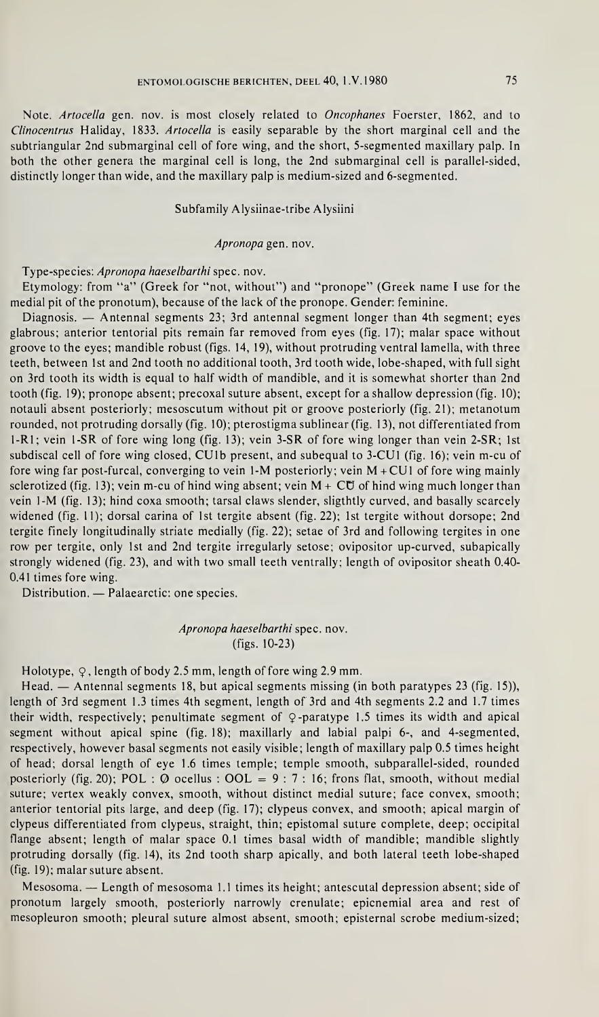Note. Artocella gen. nov. is most closely related to Oncophanes Foerster, 1862, and to Clinocentrus Haliday, 1833. Artocella is easily separable by the short marginal cell and the subtriangular 2nd submarginal cell of fore wing, and the short, 5-segmented maxillary palp. In both the other genera the marginal cell is long, the 2nd submarginal cell is parallel-sided, distinctly longer than wide, and the maxillary palp is medium-sized and 6-segmented.

# Subfamily Alysiinae-tribe Alysiini

#### Apronopa gen. nov.

### Type-species: Apronopa haeselbarthi spec. nov.

Etymology: from "a" (Greek for "not, without") and "pronope" (Greek name I use for the medial pit of the pronotum), because of the lack of the pronope. Gender: feminine.

Diagnosis. — Antennal segments 23; 3rd antennal segment longer than 4th segment; eyes glabrous; anterior tentorial pits remain far removed from eyes (fig. 17); malar space without groove to the eyes; mandible robust (figs. 14, 19), without protruding ventral lamella, with three teeth, between 1st and 2nd tooth no additional tooth, 3rd tooth wide, lobe-shaped, with full sight on 3rd tooth its width is equal to half width of mandible, and it is somewhat shorter than 2nd tooth (fig. 19); pronope absent; precoxal suture absent, except for a shallow depression (fig. 10); notauli absent posteriorly; mesoscutum without pit or groove posteriorly (fig. 21); metanotum rounded, not protruding dorsally (fig. 10); pterostigma sublinear (fig. 13), not differentiated from 1-R1; vein 1-SR of fore wing long (fig. 13); vein 3-SR of fore wing longer than vein 2-SR; 1st subdiscal cell of fore wing closed, CUlb present, and subequal to 3-CU1 (fig. 16); vein m-cu of fore wing far post-furcal, converging to vein 1-M posteriorly; vein M +CU1 of fore wing mainly sclerotized (fig. 13); vein m-cu of hind wing absent; vein  $M + \mathbb{C}\mathbb{U}$  of hind wing much longer than vein 1-M (fig. 13); hind coxa smooth; tarsal claws slender, sligthtly curved, and basally scarcely widened (fig. 11); dorsal carina of 1st tergite absent (fig. 22); 1st tergite without dorsope; 2nd tergite finely longitudinally striate medially (fig. 22); setae of 3rd and following tergites in one row per tergite, only 1st and 2nd tergite irregularly setose; ovipositor up-curved, subapically strongly widened (fig. 23), and with two small teeth ventrally; length of ovipositor sheath 0.40- 0.41 times fore wing.

Distribution. — Palaearctic: one species.

# Apronopa haeselbarthi spec. nov. (figs. 10-23)

Holotype,  $\varphi$ , length of body 2.5 mm, length of fore wing 2.9 mm.

Head. — Antennal segments 18, but apical segments missing (in both paratypes 23 (fig. 15)), length of 3rd segment 1.3 times 4th segment, length of 3rd and 4th segments 2.2 and 1.7 times their width, respectively; penultimate segment of  $\varphi$ -paratype 1.5 times its width and apical segment without apical spine (fig. 18); maxillarly and labial palpi 6-, and 4-segmented, respectively, however basal segments not easily visible; length of maxillary palp 0.5 times height of head; dorsal length of eye 1.6 times temple; temple smooth, subparallel-sided, rounded posteriorly (fig. 20); POL :  $\varnothing$  ocellus : OOL = 9 : 7 : 16; frons flat, smooth, without medial suture; vertex weakly convex, smooth, without distinct medial suture; face convex, smooth; anterior tentorial pits large, and deep (fig. 17); clypeus convex, and smooth; apical margin of clypeus differentiated from clypeus, straight, thin; epistomal suture complete, deep; occipital flange absent; length of malar space 0.1 times basal width of mandible; mandible slightly protruding dorsally (fig. 14), its 2nd tooth sharp apically, and both lateral teeth lobe-shaped (fig. 19); malar suture absent.

Mesosoma. — Length of mesosoma 1.1 times its height; antescutal depression absent; side of pronotum largely smooth, posteriorly narrowly crenulate; epicnemial area and rest of mesopleuron smooth; pleural suture almost absent, smooth; episternal scrobe medium-sized;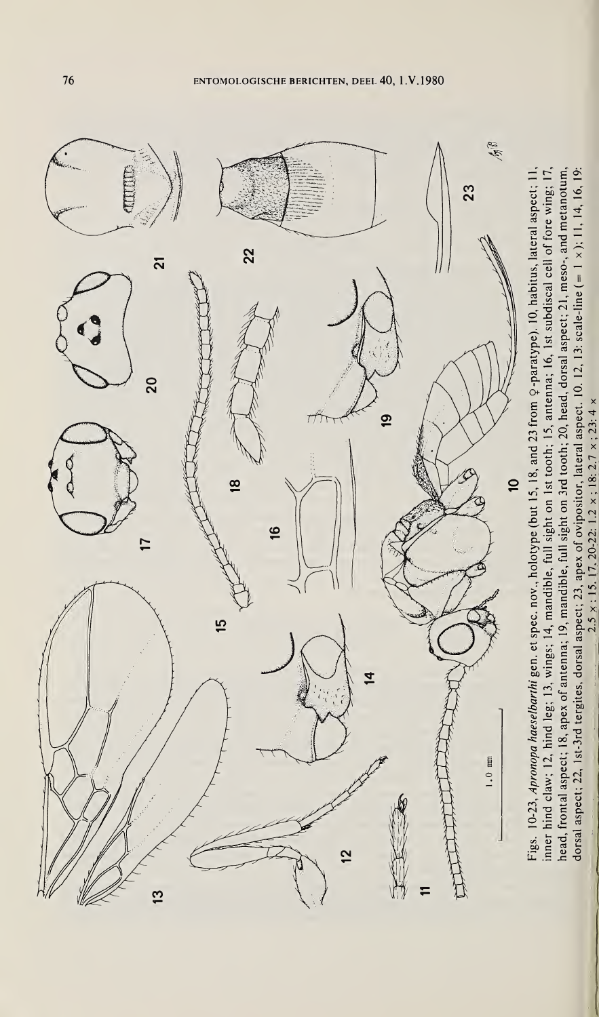

 $2.5 \times 15.17$ ,  $20-22$ :  $1.2 \times 18$ :  $2.7 \times 23$ :  $4 \times$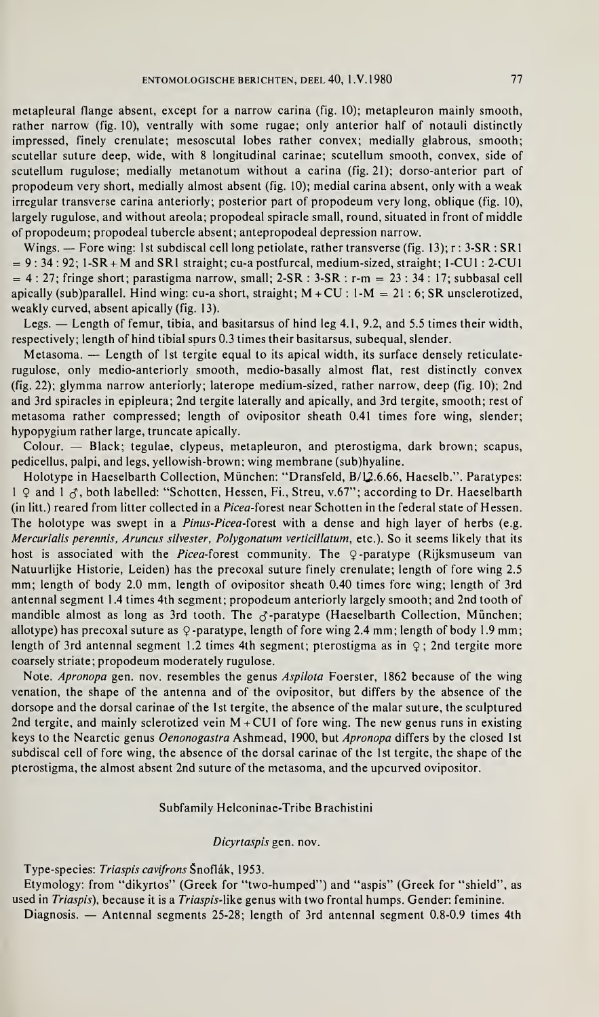metapleural flange absent, except for a narrow carina (fig. 10); metapleuron mainly smooth, rather narrow (fig. 10), ventrally with some rugae; only anterior half of notauli distinctly impressed, finely crenulate; mesoscutal lobes rather convex; medially glabrous, smooth; scutellar suture deep, wide, with 8 longitudinal carinae; scutellum smooth, convex, side of scutellum rugulose; medially metanotum without a carina (fig. 21); dorso-anterior part of propodeum very short, medially almost absent (fig. 10); medial carina absent, only with a weak irregular transverse carina anteriorly; posterior part of propodeum very long, oblique (fig. 10), largely rugulose, and without areola; propodeal spiracle small, round, situated in front of middle of propodeum; propodeal tubercle absent; antepropodeal depression narrow.

Wings. — Fore wing: 1st subdiscal cell long petiolate, rather transverse (fig. 13);  $r : 3-SR : SR1$  $= 9: 34: 92; 1-SR + M$  and SRI straight; cu-a postfurcal, medium-sized, straight; 1-CU1 : 2-CU1  $= 4:27$ ; fringe short; parastigma narrow, small;  $2-SR : 3-SR : r-m = 23:34:17$ ; subbasal cell apically (sub)parallel. Hind wing: cu-a short, straight;  $M + CU$  :  $1-M = 21$  : 6; SR unsclerotized, weakly curved, absent apically (fig. 13).

Legs. — Length of femur, tibia, and basitarsus of hind leg 4.1, 9.2, and 5.5 times their width, respectively; length of hind tibial spurs 0.3 times their basitarsus, subequal, slender.

Metasoma. — Length of 1st tergite equal to its apical width, its surface densely reticulaterugulose, only medio-anteriorly smooth, medio-basally almost flat, rest distinctly convex (fig. 22); glymma narrow anteriorly; laterope medium-sized, rather narrow, deep (fig. 10); 2nd and 3rd spiracles in epipleura; 2nd tergite laterally and apically, and 3rd tergite, smooth; rest of metasoma rather compressed; length of ovipositor sheath 0.41 times fore wing, slender; hypopygium rather large, truncate apically.

Colour. — Black; tegulae, clypeus, metapleuron, and pterostigma, dark brown; scapus, pedicellus, palpi, and legs, yellowish-brown; wing membrane (sub)hyaline.

Holotype in Haeselbarth Collection, München: "Dransfeld, B/12.6.66, Haeselb.". Paratypes: 1  $\varphi$  and 1  $\varphi$ , both labelled: "Schotten, Hessen, Fi., Streu, v.67"; according to Dr. Haeselbarth (in litt.) reared from litter collected in a Picea-forest near Schotten in the federal state of Hessen. The holotype was swept in a Pinus-Picea-forest with a dense and high layer of herbs (e.g. Mercurialis perennis, Aruncus silvester, Polygonatum verticillatum, etc.). So it seems likely that its host is associated with the Picea-forest community. The  $Q$ -paratype (Rijksmuseum van Natuurlijke Historie, Leiden) has the precoxal suture finely crenulate; length of fore wing 2.5 mm; length of body 2.0 mm, length of ovipositor sheath 0.40 times fore wing; length of 3rd antennal segment 1.4 times 4th segment; propodeum anteriorly largely smooth; and 2nd tooth of mandible almost as long as 3rd tooth. The  $\sigma$ -paratype (Haeselbarth Collection, München; allotype) has precoxal suture as  $\varphi$ -paratype, length of fore wing 2.4 mm; length of body 1.9 mm; length of 3rd antennal segment 1.2 times 4th segment; pterostigma as in  $\varphi$ ; 2nd tergite more coarsely striate; propodeum moderately rugulose.

Note. Apronopa gen. nov. resembles the genus Aspilota Foerster, 1862 because of the wing venation, the shape of the antenna and of the ovipositor, but differs by the absence of the dorsope and the dorsal carinae of the 1st tergite, the absence of the malar suture, the sculptured 2nd tergite, and mainly sclerotized vein  $M + CUI$  of fore wing. The new genus runs in existing keys to the Nearctic genus Oenonogastra Ashmead, 1900, but Apronopa differs by the closed 1st subdiscal cell of fore wing, the absence of the dorsal carinae of the 1st tergite, the shape of the pterostigma, the almost absent 2nd suture of the metasoma, and the upcurved ovipositor.

### Subfamily Helconinae-Tribe Brachistini

#### Dicyrtaspis gen. nov.

## Type-species: Triaspis cavifrons Snoflâk, 1953.

Etymology: from "dikyrtos" (Greek for "two-humped") and "aspis" (Greek for "shield", as used in Triaspis), because it is a Triaspis-like genus with two frontal humps. Gender: feminine. Diagnosis. — Antennal segments 25-28; length of 3rd antennal segment 0.8-0.9 times 4th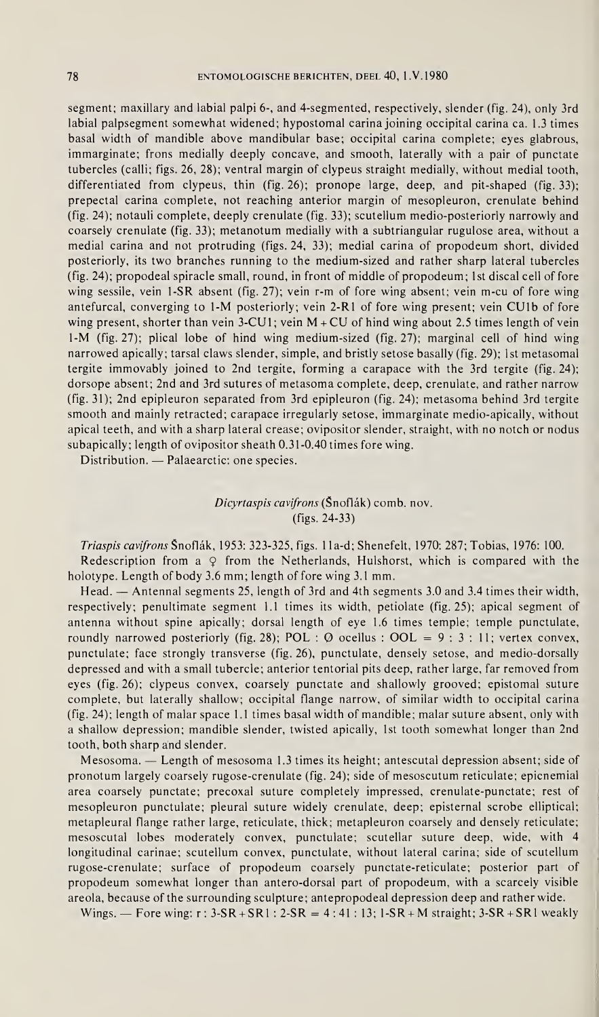segment; maxillary and labial palpi 6-, and 4-segmented, respectively, slender (fig. 24), only 3rd labial palpsegment somewhat widened; hypostomal carina joining occipital carina ca. 1.3 times basal width of mandible above mandibular base; occipital carina complete; eyes glabrous, immarginate; frons medially deeply concave, and smooth, laterally with a pair of punctate tubercles (calli; figs. 26, 28); ventral margin of clypeus straight medially, without medial tooth, differentiated from clypeus, thin (fig. 26); pronope large, deep, and pit-shaped (fig. 33); prepectal carina complete, not reaching anterior margin of mesopleuron, crenulate behind (fig. 24); notauli complete, deeply crenulate (fig. 33); scutellum medio-posteriorly narrowly and coarsely crenulate (fig. 33); metanotum medially with a subtriangular rugulose area, without a medial carina and not protruding (figs. 24, 33); medial carina of propodeum short, divided posteriorly, its two branches running to the medium-sized and rather sharp lateral tubercles (fig. 24); propodeal spiracle small, round, in front of middle of propodeum; 1st discal cell of fore wing sessile, vein 1-SR absent (fig. 27); vein r-m of fore wing absent; vein m-cu of fore wing antefurcal, converging to 1-M posteriorly; vein 2-R1 of fore wing present; vein CUlb of fore wing present, shorter than vein  $3$ -CU1; vein  $M$  + CU of hind wing about 2.5 times length of vein 1-M (fig. 27); plical lobe of hind wing medium-sized (fig. 27); marginal cell of hind wing narrowed apically; tarsal claws slender, simple, and bristly setose basally (fig. 29); 1st metasomal tergite immovably joined to 2nd tergite, forming a carapace with the 3rd tergite (fig. 24); dorsope absent; 2nd and 3rd sutures of metasoma complete, deep, crenulate, and rather narrow (fig. 31); 2nd epipleuron separated from 3rd epipleuron (fig. 24); metasoma behind 3rd tergite smooth and mainly retracted; carapace irregularly setose, immarginate medio-apically, without apical teeth, and with a sharp lateral crease; ovipositor slender, straight, with no notch or nodus subapically; length of ovipositor sheath 0.31-0.40 times fore wing.

Distribution. — Palaearctic: one species.

Dicyrtaspis cavifrons (Snoflâk) comb. nov. (figs. 24-33)

Triaspis cavifrons Snoflâk, 1953: 323-325, figs. <sup>1</sup> la-d; Shenefelt, 1970: 287; Tobias, 1976: 100. Redescription from a  $\varphi$  from the Netherlands, Hulshorst, which is compared with the holotype. Length of body 3.6 mm; length of fore wing 3.1 mm.

Head. — Antennal segments 25, length of 3rd and 4th segments 3.0 and 3.4 times their width, respectively; penultimate segment 1.1 times its width, petiolate (fig. 25); apical segment of antenna without spine apically; dorsal length of eye 1.6 times temple; temple punctulate, roundly narrowed posteriorly (fig. 28); POL :  $\varnothing$  ocellus : OOL = 9: 3:11; vertex convex, punctulate; face strongly transverse (fig. 26), punctulate, densely setose, and medio-dorsally depressed and with a small tubercle; anterior tentorial pits deep, rather large, far removed from eyes (fig. 26); clypeus convex, coarsely punctate and shallowly grooved; epistomal suture complete, but laterally shallow; occipital flange narrow, of similar width to occipital carina (fig. 24); length of malar space 1.1 times basal width of mandible; malar suture absent, only with a shallow depression; mandible slender, twisted apically, 1st tooth somewhat longer than 2nd tooth, both sharp and slender.

Mesosoma. — Length of mesosoma 1.3 times its height; antescutal depression absent; side of pronotum largely coarsely rugose-crenulate (fig. 24); side of mesoscutum reticulate; epicnemial area coarsely punctate; precoxal suture completely impressed, crenulate-punctate; rest of mesopleuron punctulate; pleural suture widely crenulate, deep; episternal scrobe elliptical; metapleural flange rather large, reticulate, thick; metapleuron coarsely and densely reticulate; mesoscutal lobes moderately convex, punctulate; scutellar suture deep, wide, with 4 longitudinal carinae; scutellum convex, punctulate, without lateral carina; side of scutellum rugose-crenulate; surface of propodeum coarsely punctate-reticulate; posterior part of propodeum somewhat longer than antero-dorsal part of propodeum, with a scarcely visible areola, because of the surrounding sculpture; antepropodeal depression deep and rather wide.

Wings. — Fore wing:  $r : 3-SR + SR1 : 2-SR = 4:41 : 13; 1-SR + M$  straight;  $3-SR + SR1$  weakly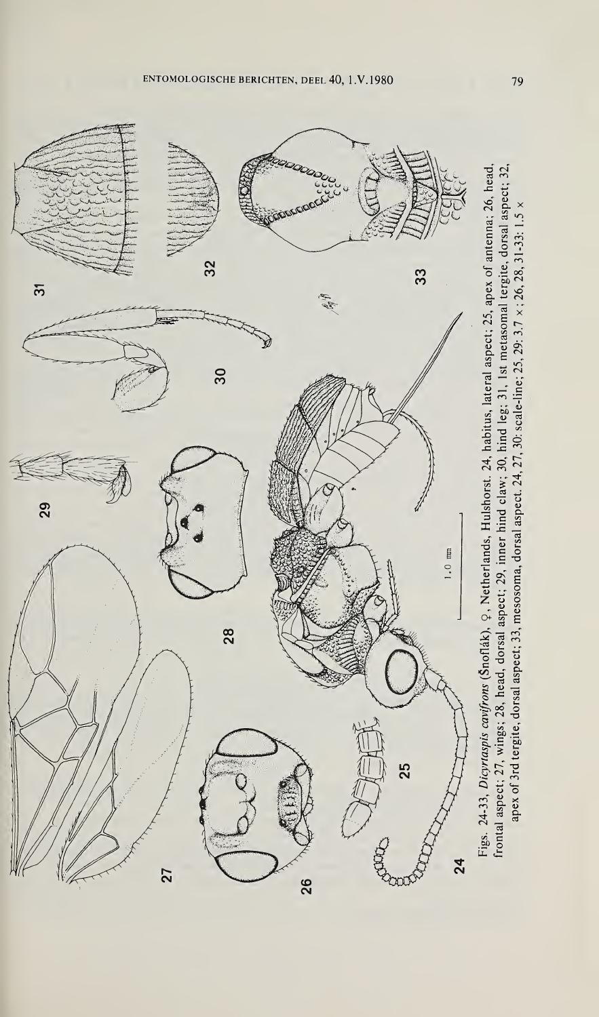ENTOMOLOGISCHE BERICHTEN, DEEL 40, <sup>1</sup> .V. 1980